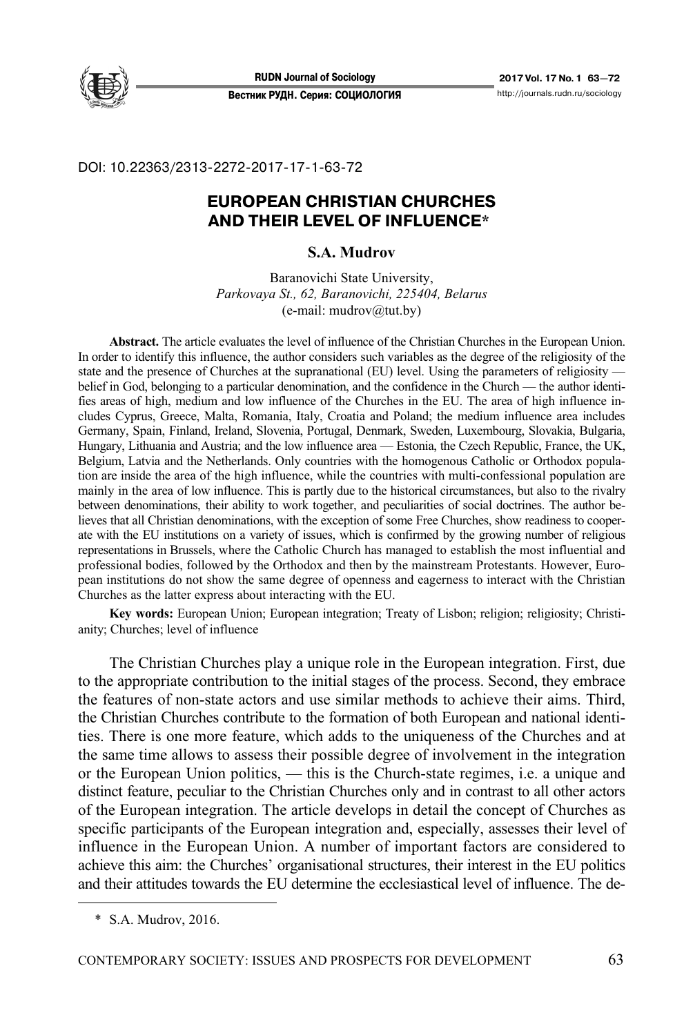

DOI: 10.22363/2313-2272-2017-17-1-63-72

# **EUROPEAN CHRISTIAN CHURCHES AND THEIR LEVEL OF INFLUENCE\***

### **S.A. Mudrov**

Baranovichi State University, *Parkovaya St., 62, Baranovichi, 225404, Belarus*   $(e-mail: mudrov@tut.by)$ 

**Abstract.** The article evaluates the level of influence of the Christian Churches in the European Union. In order to identify this influence, the author considers such variables as the degree of the religiosity of the state and the presence of Churches at the supranational (EU) level. Using the parameters of religiosity belief in God, belonging to a particular denomination, and the confidence in the Church — the author identifies areas of high, medium and low influence of the Churches in the EU. The area of high influence includes Cyprus, Greece, Malta, Romania, Italy, Croatia and Poland; the medium influence area includes Germany, Spain, Finland, Ireland, Slovenia, Portugal, Denmark, Sweden, Luxembourg, Slovakia, Bulgaria, Hungary, Lithuania and Austria; and the low influence area — Estonia, the Czech Republic, France, the UK, Belgium, Latvia and the Netherlands. Only countries with the homogenous Catholic or Orthodox population are inside the area of the high influence, while the countries with multi-confessional population are mainly in the area of low influence. This is partly due to the historical circumstances, but also to the rivalry between denominations, their ability to work together, and peculiarities of social doctrines. The author believes that all Christian denominations, with the exception of some Free Churches, show readiness to cooperate with the EU institutions on a variety of issues, which is confirmed by the growing number of religious representations in Brussels, where the Catholic Church has managed to establish the most influential and professional bodies, followed by the Orthodox and then by the mainstream Protestants. However, European institutions do not show the same degree of openness and eagerness to interact with the Christian Churches as the latter express about interacting with the EU.

**Key words:** European Union; European integration; Treaty of Lisbon; religion; religiosity; Christianity; Churches; level of influence

The Christian Churches play a unique role in the European integration. First, due to the appropriate contribution to the initial stages of the process. Second, they embrace the features of non-state actors and use similar methods to achieve their aims. Third, the Christian Churches contribute to the formation of both European and national identities. There is one more feature, which adds to the uniqueness of the Churches and at the same time allows to assess their possible degree of involvement in the integration or the European Union politics, — this is the Church-state regimes, i.e. a unique and distinct feature, peculiar to the Christian Churches only and in contrast to all other actors of the European integration. The article develops in detail the concept of Churches as specific participants of the European integration and, especially, assesses their level of influence in the European Union. A number of important factors are considered to achieve this aim: the Churches' organisational structures, their interest in the EU politics and their attitudes towards the EU determine the ecclesiastical level of influence. The de-

 $\overline{a}$ 

 <sup>\*</sup> S.A. Mudrov, 2016.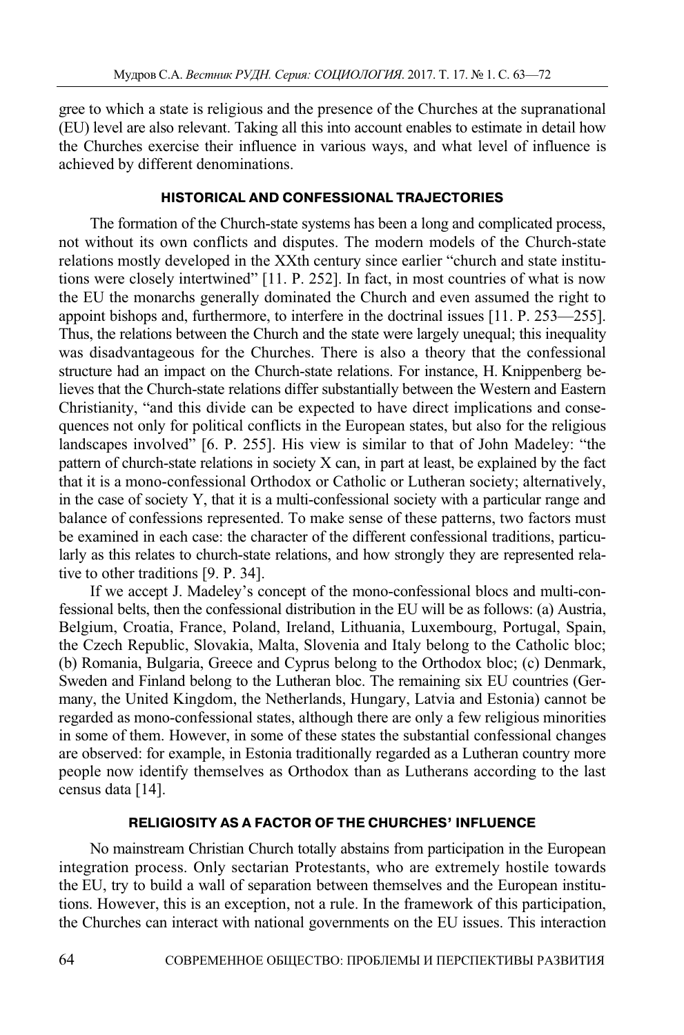gree to which a state is religious and the presence of the Churches at the supranational (EU) level are also relevant. Taking all this into account enables to estimate in detail how the Churches exercise their influence in various ways, and what level of influence is achieved by different denominations.

### **HISTORICAL AND CONFESSIONAL TRAJECTORIES**

The formation of the Church-state systems has been a long and complicated process, not without its own conflicts and disputes. The modern models of the Church-state relations mostly developed in the XXth century since earlier "church and state institutions were closely intertwined" [11. P. 252]. In fact, in most countries of what is now the EU the monarchs generally dominated the Church and even assumed the right to appoint bishops and, furthermore, to interfere in the doctrinal issues [11. P. 253—255]. Thus, the relations between the Church and the state were largely unequal; this inequality was disadvantageous for the Churches. There is also a theory that the confessional structure had an impact on the Church-state relations. For instance, H. Knippenberg believes that the Church-state relations differ substantially between the Western and Eastern Christianity, "and this divide can be expected to have direct implications and consequences not only for political conflicts in the European states, but also for the religious landscapes involved" [6. P. 255]. His view is similar to that of John Madeley: "the pattern of church-state relations in society X can, in part at least, be explained by the fact that it is a mono-confessional Orthodox or Catholic or Lutheran society; alternatively, in the case of society Y, that it is a multi-confessional society with a particular range and balance of confessions represented. To make sense of these patterns, two factors must be examined in each case: the character of the different confessional traditions, particularly as this relates to church-state relations, and how strongly they are represented relative to other traditions [9. P. 34].

If we accept J. Madeley's concept of the mono-confessional blocs and multi-confessional belts, then the confessional distribution in the EU will be as follows: (a) Austria, Belgium, Croatia, France, Poland, Ireland, Lithuania, Luxembourg, Portugal, Spain, the Czech Republic, Slovakia, Malta, Slovenia and Italy belong to the Catholic bloc; (b) Romania, Bulgaria, Greece and Cyprus belong to the Orthodox bloc; (c) Denmark, Sweden and Finland belong to the Lutheran bloc. The remaining six EU countries (Germany, the United Kingdom, the Netherlands, Hungary, Latvia and Estonia) cannot be regarded as mono-confessional states, although there are only a few religious minorities in some of them. However, in some of these states the substantial confessional changes are observed: for example, in Estonia traditionally regarded as a Lutheran country more people now identify themselves as Orthodox than as Lutherans according to the last census data [14].

## **RELIGIOSITY AS A FACTOR OF THE CHURCHES' INFLUENCE**

No mainstream Christian Church totally abstains from participation in the European integration process. Only sectarian Protestants, who are extremely hostile towards the EU, try to build a wall of separation between themselves and the European institutions. However, this is an exception, not a rule. In the framework of this participation, the Churches can interact with national governments on the EU issues. This interaction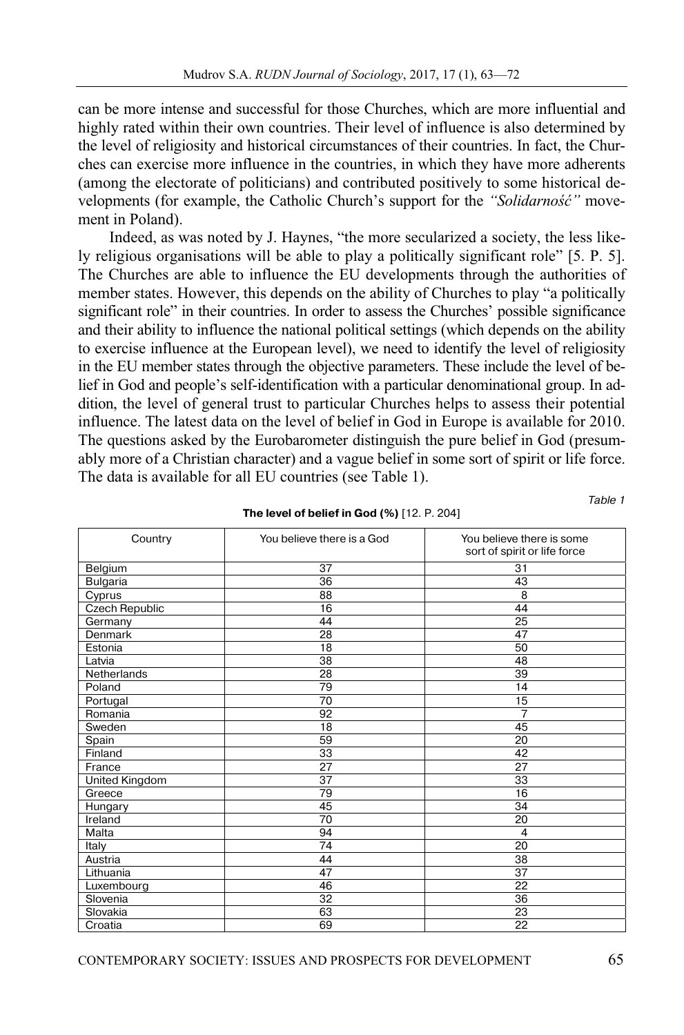can be more intense and successful for those Churches, which are more influential and highly rated within their own countries. Their level of influence is also determined by the level of religiosity and historical circumstances of their countries. In fact, the Churches can exercise more influence in the countries, in which they have more adherents (among the electorate of politicians) and contributed positively to some historical developments (for example, the Catholic Church's support for the *"Solidarność"* movement in Poland).

Indeed, as was noted by J. Haynes, "the more secularized a society, the less likely religious organisations will be able to play a politically significant role" [5. P. 5]. The Churches are able to influence the EU developments through the authorities of member states. However, this depends on the ability of Churches to play "a politically significant role" in their countries. In order to assess the Churches' possible significance and their ability to influence the national political settings (which depends on the ability to exercise influence at the European level), we need to identify the level of religiosity in the EU member states through the objective parameters. These include the level of belief in God and people's self-identification with a particular denominational group. In addition, the level of general trust to particular Churches helps to assess their potential influence. The latest data on the level of belief in God in Europe is available for 2010. The questions asked by the Eurobarometer distinguish the pure belief in God (presumably more of a Christian character) and a vague belief in some sort of spirit or life force. The data is available for all EU countries (see Table 1).

| Country               | You believe there is a God | You believe there is some<br>sort of spirit or life force |
|-----------------------|----------------------------|-----------------------------------------------------------|
| Belgium               | 37                         | 31                                                        |
| <b>Bulgaria</b>       | 36                         | 43                                                        |
| Cyprus                | 88                         | 8                                                         |
| <b>Czech Republic</b> | 16                         | 44                                                        |
| Germany               | 44                         | 25                                                        |
| Denmark               | 28                         | 47                                                        |
| Estonia               | 18                         | 50                                                        |
| Latvia                | 38                         | 48                                                        |
| Netherlands           | 28                         | 39                                                        |
| Poland                | 79                         | 14                                                        |
| Portugal              | 70                         | 15                                                        |
| Romania               | 92                         | $\overline{7}$                                            |
| Sweden                | 18                         | 45                                                        |
| Spain                 | 59                         | 20                                                        |
| Finland               | 33                         | 42                                                        |
| France                | 27                         | 27                                                        |
| United Kingdom        | 37                         | 33                                                        |
| Greece                | 79                         | 16                                                        |
| Hungary               | 45                         | 34                                                        |
| Ireland               | 70                         | 20                                                        |
| Malta                 | 94                         | $\overline{4}$                                            |
| Italy                 | 74                         | 20                                                        |
| Austria               | 44                         | 38                                                        |
| Lithuania             | 47                         | $\overline{37}$                                           |
| Luxembourg            | 46                         | 22                                                        |
| Slovenia              | 32                         | 36                                                        |
| Slovakia              | 63                         | 23                                                        |
| Croatia               | 69                         | 22                                                        |

**The level of belief in God (%)** [12. P. 204]

Table 1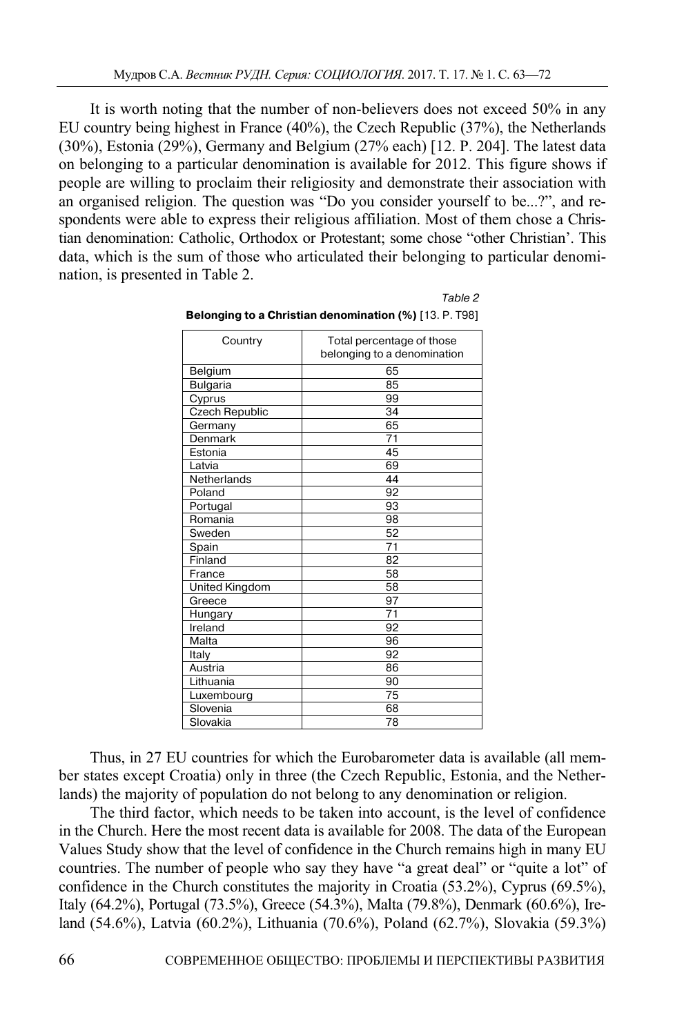It is worth noting that the number of non-believers does not exceed 50% in any EU country being highest in France (40%), the Czech Republic (37%), the Netherlands (30%), Estonia (29%), Germany and Belgium (27% each) [12. P. 204]. The latest data on belonging to a particular denomination is available for 2012. This figure shows if people are willing to proclaim their religiosity and demonstrate their association with an organised religion. The question was "Do you consider yourself to be...?", and respondents were able to express their religious affiliation. Most of them chose a Christian denomination: Catholic, Orthodox or Protestant; some chose "other Christian'. This data, which is the sum of those who articulated their belonging to particular denomination, is presented in Table 2.

Country **Total percentage of those** belonging to a denomination Belgium 65 Bulgaria 85<br>Cyprus 99 Cyprus Czech Republic and 34 Germany 65 Denmark 71 Estonia 45 Latvia 69 Netherlands 144 Poland 92 Portugal 93 Romania 98 Sweden 52 Spain 71 Finland 82 France 58 United Kingdom 58 Greece 97 Hungary **National Hungary** 71 Ireland 92 Malta 96 Italy 92 Austria 86 Lithuania 190 Luxembourg 75 Slovenia 68 Slovakia 78

| <b>Belonging to a Christian denomination (%)</b> [13. P. T98] |  |  |
|---------------------------------------------------------------|--|--|
|                                                               |  |  |

Table 2

Thus, in 27 EU countries for which the Eurobarometer data is available (all member states except Croatia) only in three (the Czech Republic, Estonia, and the Netherlands) the majority of population do not belong to any denomination or religion.

The third factor, which needs to be taken into account, is the level of confidence in the Church. Here the most recent data is available for 2008. The data of the European Values Study show that the level of confidence in the Church remains high in many EU countries. The number of people who say they have "a great deal" or "quite a lot" of confidence in the Church constitutes the majority in Croatia (53.2%), Cyprus (69.5%), Italy (64.2%), Portugal (73.5%), Greece (54.3%), Malta (79.8%), Denmark (60.6%), Ireland (54.6%), Latvia (60.2%), Lithuania (70.6%), Poland (62.7%), Slovakia (59.3%)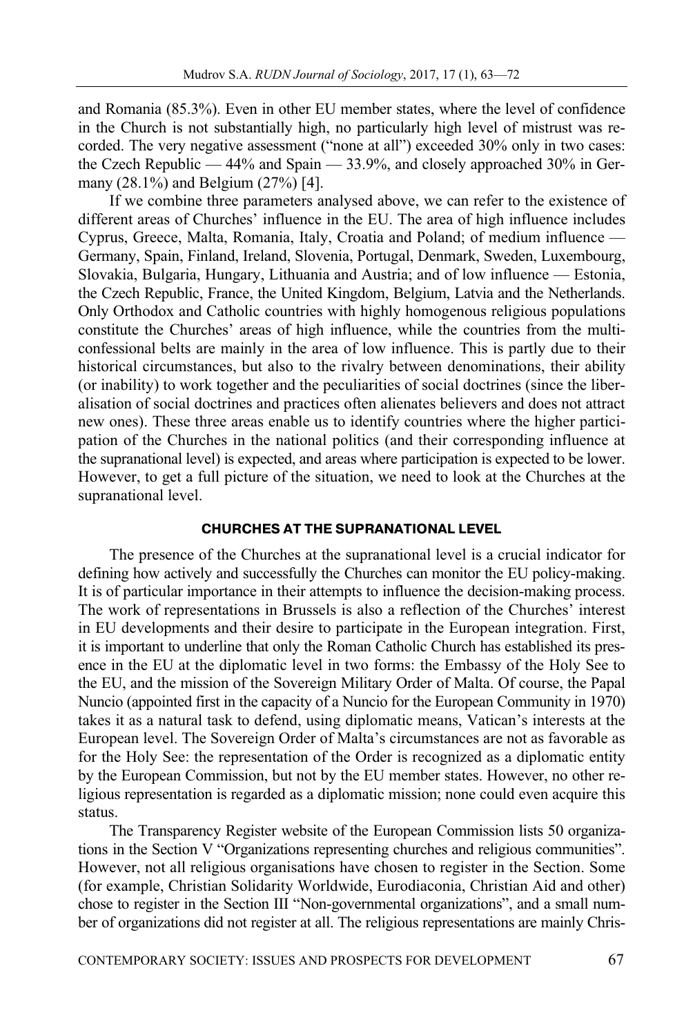and Romania (85.3%). Even in other EU member states, where the level of confidence in the Church is not substantially high, no particularly high level of mistrust was recorded. The very negative assessment ("none at all") exceeded 30% only in two cases: the Czech Republic — 44% and Spain — 33.9%, and closely approached 30% in Germany (28.1%) and Belgium (27%) [4].

If we combine three parameters analysed above, we can refer to the existence of different areas of Churches' influence in the EU. The area of high influence includes Cyprus, Greece, Malta, Romania, Italy, Croatia and Poland; of medium influence — Germany, Spain, Finland, Ireland, Slovenia, Portugal, Denmark, Sweden, Luxembourg, Slovakia, Bulgaria, Hungary, Lithuania and Austria; and of low influence — Estonia, the Czech Republic, France, the United Kingdom, Belgium, Latvia and the Netherlands. Only Orthodox and Catholic countries with highly homogenous religious populations constitute the Churches' areas of high influence, while the countries from the multiconfessional belts are mainly in the area of low influence. This is partly due to their historical circumstances, but also to the rivalry between denominations, their ability (or inability) to work together and the peculiarities of social doctrines (since the liberalisation of social doctrines and practices often alienates believers and does not attract new ones). These three areas enable us to identify countries where the higher participation of the Churches in the national politics (and their corresponding influence at the supranational level) is expected, and areas where participation is expected to be lower. However, to get a full picture of the situation, we need to look at the Churches at the supranational level.

#### **CHURCHES AT THE SUPRANATIONAL LEVEL**

The presence of the Churches at the supranational level is a crucial indicator for defining how actively and successfully the Churches can monitor the EU policy-making. It is of particular importance in their attempts to influence the decision-making process. The work of representations in Brussels is also a reflection of the Churches' interest in EU developments and their desire to participate in the European integration. First, it is important to underline that only the Roman Catholic Church has established its presence in the EU at the diplomatic level in two forms: the Embassy of the Holy See to the EU, and the mission of the Sovereign Military Order of Malta. Of course, the Papal Nuncio (appointed first in the capacity of a Nuncio for the European Community in 1970) takes it as a natural task to defend, using diplomatic means, Vatican's interests at the European level. The Sovereign Order of Malta's circumstances are not as favorable as for the Holy See: the representation of the Order is recognized as a diplomatic entity by the European Commission, but not by the EU member states. However, no other religious representation is regarded as a diplomatic mission; none could even acquire this status.

The Transparency Register website of the European Commission lists 50 organizations in the Section V "Organizations representing churches and religious communities". However, not all religious organisations have chosen to register in the Section. Some (for example, Christian Solidarity Worldwide, Eurodiaconia, Christian Aid and other) chose to register in the Section III "Non-governmental organizations", and a small number of organizations did not register at all. The religious representations are mainly Chris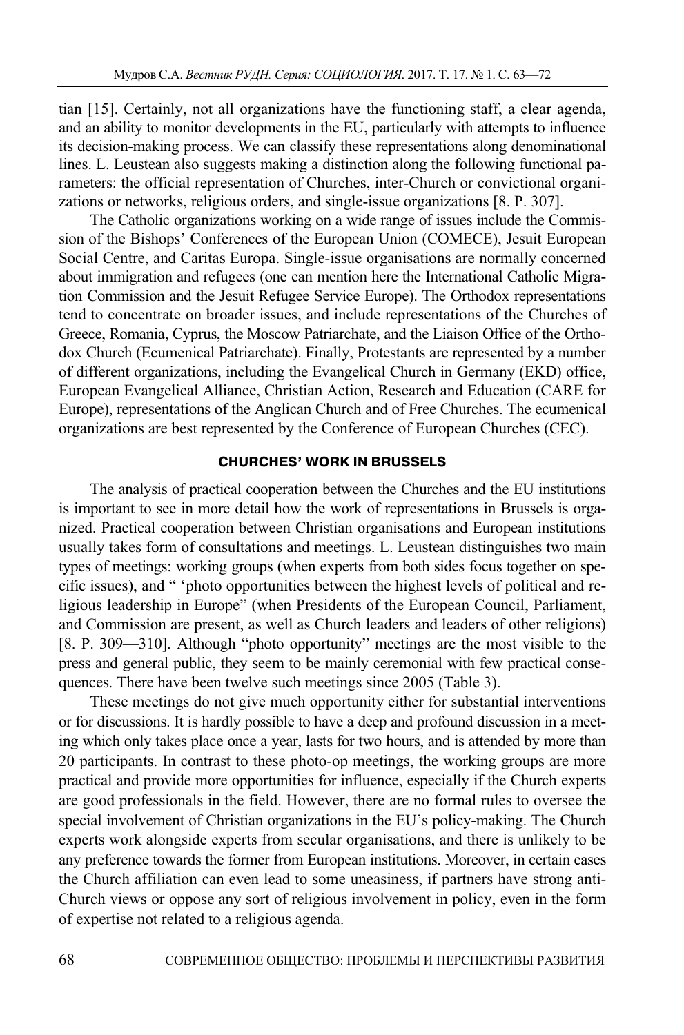tian [15]. Certainly, not all organizations have the functioning staff, a clear agenda, and an ability to monitor developments in the EU, particularly with attempts to influence its decision-making process. We can classify these representations along denominational lines. L. Leustean also suggests making a distinction along the following functional parameters: the official representation of Churches, inter-Church or convictional organizations or networks, religious orders, and single-issue organizations [8. P. 307].

The Catholic organizations working on a wide range of issues include the Commission of the Bishops' Conferences of the European Union (COMECE), Jesuit European Social Centre, and Caritas Europa. Single-issue organisations are normally concerned about immigration and refugees (one can mention here the International Catholic Migration Commission and the Jesuit Refugee Service Europe). The Orthodox representations tend to concentrate on broader issues, and include representations of the Churches of Greece, Romania, Cyprus, the Moscow Patriarchate, and the Liaison Office of the Orthodox Church (Ecumenical Patriarchate). Finally, Protestants are represented by a number of different organizations, including the Evangelical Church in Germany (EKD) office, European Evangelical Alliance, Christian Action, Research and Education (CARE for Europe), representations of the Anglican Church and of Free Churches. The ecumenical organizations are best represented by the Conference of European Churches (CEC).

## **CHURCHES' WORK IN BRUSSELS**

The analysis of practical cooperation between the Churches and the EU institutions is important to see in more detail how the work of representations in Brussels is organized. Practical cooperation between Christian organisations and European institutions usually takes form of consultations and meetings. L. Leustean distinguishes two main types of meetings: working groups (when experts from both sides focus together on specific issues), and " 'photo opportunities between the highest levels of political and religious leadership in Europe" (when Presidents of the European Council, Parliament, and Commission are present, as well as Church leaders and leaders of other religions) [8. P. 309—310]. Although "photo opportunity" meetings are the most visible to the press and general public, they seem to be mainly ceremonial with few practical consequences. There have been twelve such meetings since 2005 (Table 3).

These meetings do not give much opportunity either for substantial interventions or for discussions. It is hardly possible to have a deep and profound discussion in a meeting which only takes place once a year, lasts for two hours, and is attended by more than 20 participants. In contrast to these photo-op meetings, the working groups are more practical and provide more opportunities for influence, especially if the Church experts are good professionals in the field. However, there are no formal rules to oversee the special involvement of Christian organizations in the EU's policy-making. The Church experts work alongside experts from secular organisations, and there is unlikely to be any preference towards the former from European institutions. Moreover, in certain cases the Church affiliation can even lead to some uneasiness, if partners have strong anti-Church views or oppose any sort of religious involvement in policy, even in the form of expertise not related to a religious agenda.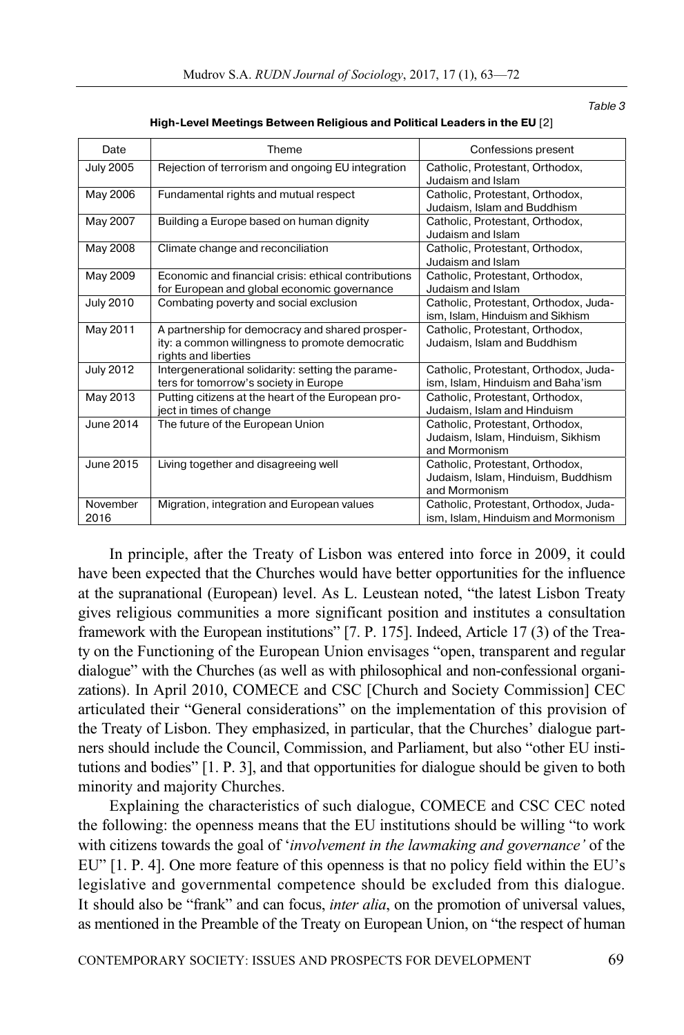Table 3

| Date             | Theme                                                                                                                      | Confessions present                                                                    |  |
|------------------|----------------------------------------------------------------------------------------------------------------------------|----------------------------------------------------------------------------------------|--|
| <b>July 2005</b> | Rejection of terrorism and ongoing EU integration                                                                          | Catholic, Protestant, Orthodox,<br>Judaism and Islam                                   |  |
| May 2006         | Fundamental rights and mutual respect                                                                                      | Catholic, Protestant, Orthodox,<br>Judaism, Islam and Buddhism                         |  |
| May 2007         | Building a Europe based on human dignity                                                                                   | Catholic, Protestant, Orthodox,<br>Judaism and Islam                                   |  |
| May 2008         | Climate change and reconciliation                                                                                          | Catholic, Protestant, Orthodox,<br>Judaism and Islam                                   |  |
| May 2009         | Economic and financial crisis: ethical contributions<br>for European and global economic governance                        | Catholic, Protestant, Orthodox,<br>Judaism and Islam                                   |  |
| <b>July 2010</b> | Combating poverty and social exclusion                                                                                     | Catholic, Protestant, Orthodox, Juda-<br>ism, Islam, Hinduism and Sikhism              |  |
| May 2011         | A partnership for democracy and shared prosper-<br>ity: a common willingness to promote democratic<br>rights and liberties | Catholic, Protestant, Orthodox,<br>Judaism, Islam and Buddhism                         |  |
| <b>July 2012</b> | Intergenerational solidarity: setting the parame-<br>ters for tomorrow's society in Europe                                 | Catholic, Protestant, Orthodox, Juda-<br>ism, Islam, Hinduism and Baha'ism             |  |
| May 2013         | Putting citizens at the heart of the European pro-<br>ject in times of change                                              | Catholic, Protestant, Orthodox,<br>Judaism, Islam and Hinduism                         |  |
| June 2014        | The future of the European Union                                                                                           | Catholic, Protestant, Orthodox,<br>Judaism, Islam, Hinduism, Sikhism<br>and Mormonism  |  |
| June 2015        | Living together and disagreeing well                                                                                       | Catholic, Protestant, Orthodox,<br>Judaism, Islam, Hinduism, Buddhism<br>and Mormonism |  |
| November<br>2016 | Migration, integration and European values                                                                                 | Catholic, Protestant, Orthodox, Juda-<br>ism, Islam, Hinduism and Mormonism            |  |

**High-Level Meetings Between Religious and Political Leaders in the EU** [2]

In principle, after the Treaty of Lisbon was entered into force in 2009, it could have been expected that the Churches would have better opportunities for the influence at the supranational (European) level. As L. Leustean noted, "the latest Lisbon Treaty gives religious communities a more significant position and institutes a consultation framework with the European institutions" [7. P. 175]. Indeed, Article 17 (3) of the Treaty on the Functioning of the European Union envisages "open, transparent and regular dialogue" with the Churches (as well as with philosophical and non-confessional organizations). In April 2010, COMECE and CSC [Church and Society Commission] CEC articulated their "General considerations" on the implementation of this provision of the Treaty of Lisbon. They emphasized, in particular, that the Churches' dialogue partners should include the Council, Commission, and Parliament, but also "other EU institutions and bodies" [1. P. 3], and that opportunities for dialogue should be given to both minority and majority Churches.

Explaining the characteristics of such dialogue, COMECE and CSC CEC noted the following: the openness means that the EU institutions should be willing "to work with citizens towards the goal of '*involvement in the lawmaking and governance'* of the EU" [1. P. 4]. One more feature of this openness is that no policy field within the EU's legislative and governmental competence should be excluded from this dialogue. It should also be "frank" and can focus, *inter alia*, on the promotion of universal values, as mentioned in the Preamble of the Treaty on European Union, on "the respect of human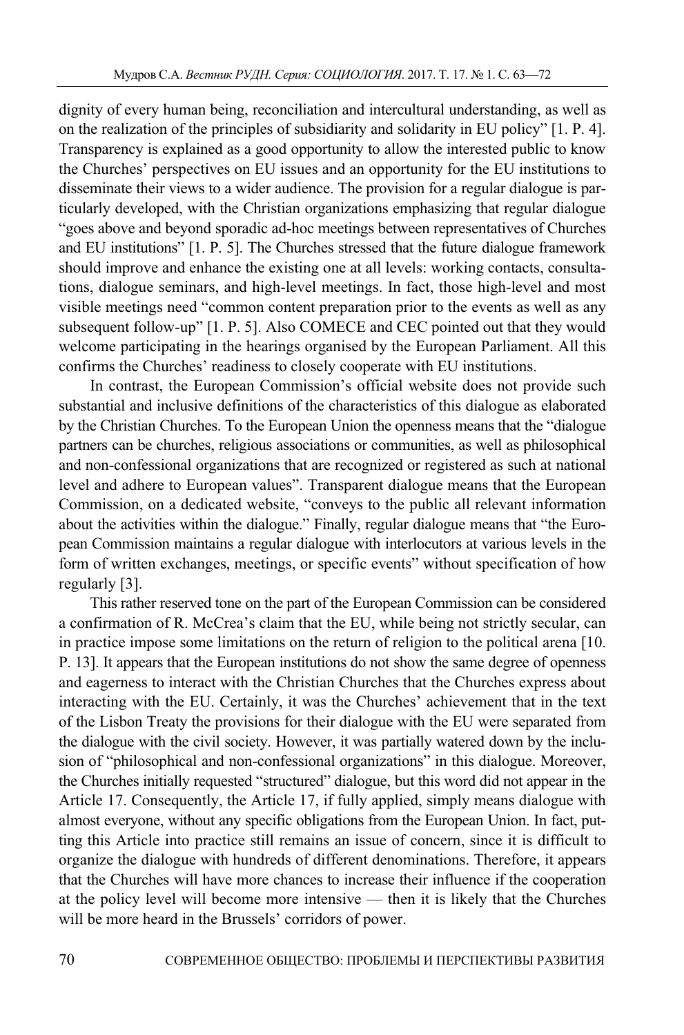dignity of every human being, reconciliation and intercultural understanding, as well as on the realization of the principles of subsidiarity and solidarity in EU policy" [1. P. 4]. Transparency is explained as a good opportunity to allow the interested public to know the Churches' perspectives on EU issues and an opportunity for the EU institutions to disseminate their views to a wider audience. The provision for a regular dialogue is particularly developed, with the Christian organizations emphasizing that regular dialogue "goes above and beyond sporadic ad-hoc meetings between representatives of Churches and EU institutions" [1. P. 5]. The Churches stressed that the future dialogue framework should improve and enhance the existing one at all levels: working contacts, consultations, dialogue seminars, and high-level meetings. In fact, those high-level and most visible meetings need "common content preparation prior to the events as well as any subsequent follow-up" [1. P. 5]. Also COMECE and CEC pointed out that they would welcome participating in the hearings organised by the European Parliament. All this confirms the Churches' readiness to closely cooperate with EU institutions.

In contrast, the European Commission's official website does not provide such substantial and inclusive definitions of the characteristics of this dialogue as elaborated by the Christian Churches. To the European Union the openness means that the "dialogue partners can be churches, religious associations or communities, as well as philosophical and non-confessional organizations that are recognized or registered as such at national level and adhere to European values". Transparent dialogue means that the European Commission, on a dedicated website, "conveys to the public all relevant information about the activities within the dialogue." Finally, regular dialogue means that "the European Commission maintains a regular dialogue with interlocutors at various levels in the form of written exchanges, meetings, or specific events" without specification of how regularly [3].

This rather reserved tone on the part of the European Commission can be considered a confirmation of R. McCrea's claim that the EU, while being not strictly secular, can in practice impose some limitations on the return of religion to the political arena [10. P. 13]. It appears that the European institutions do not show the same degree of openness and eagerness to interact with the Christian Churches that the Churches express about interacting with the EU. Certainly, it was the Churches' achievement that in the text of the Lisbon Treaty the provisions for their dialogue with the EU were separated from the dialogue with the civil society. However, it was partially watered down by the inclusion of "philosophical and non-confessional organizations" in this dialogue. Moreover, the Churches initially requested "structured" dialogue, but this word did not appear in the Article 17. Consequently, the Article 17, if fully applied, simply means dialogue with almost everyone, without any specific obligations from the European Union. In fact, putting this Article into practice still remains an issue of concern, since it is difficult to organize the dialogue with hundreds of different denominations. Therefore, it appears that the Churches will have more chances to increase their influence if the cooperation at the policy level will become more intensive — then it is likely that the Churches will be more heard in the Brussels' corridors of power.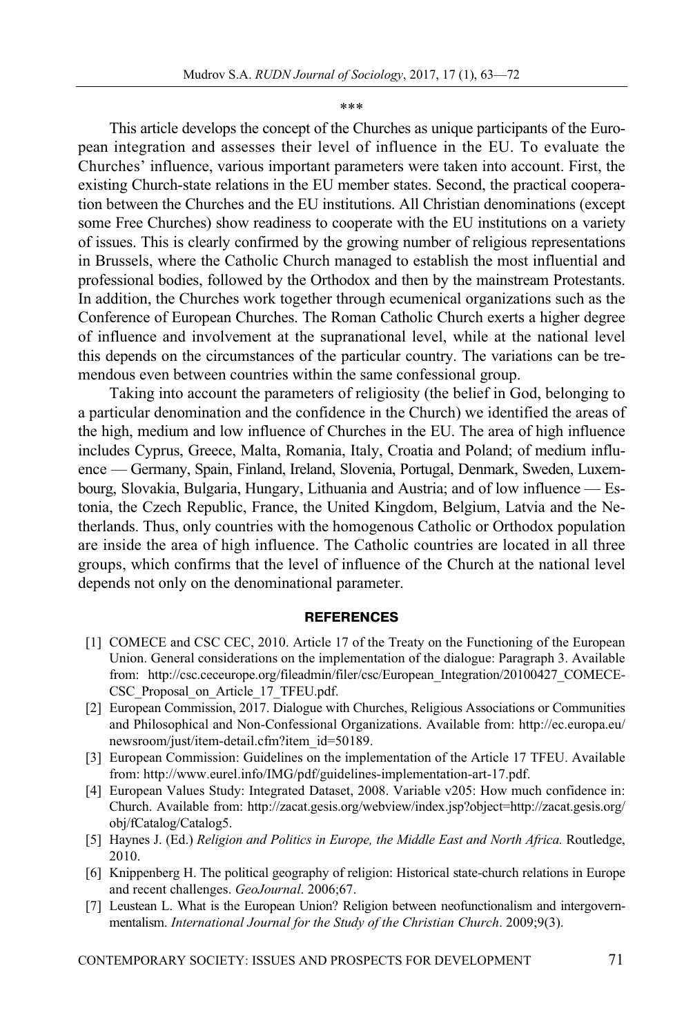\*\*\*

This article develops the concept of the Churches as unique participants of the European integration and assesses their level of influence in the EU. To evaluate the Churches' influence, various important parameters were taken into account. First, the existing Church-state relations in the EU member states. Second, the practical cooperation between the Churches and the EU institutions. All Christian denominations (except some Free Churches) show readiness to cooperate with the EU institutions on a variety of issues. This is clearly confirmed by the growing number of religious representations in Brussels, where the Catholic Church managed to establish the most influential and professional bodies, followed by the Orthodox and then by the mainstream Protestants. In addition, the Churches work together through ecumenical organizations such as the Conference of European Churches. The Roman Catholic Church exerts a higher degree of influence and involvement at the supranational level, while at the national level this depends on the circumstances of the particular country. The variations can be tremendous even between countries within the same confessional group.

Taking into account the parameters of religiosity (the belief in God, belonging to a particular denomination and the confidence in the Church) we identified the areas of the high, medium and low influence of Churches in the EU. The area of high influence includes Cyprus, Greece, Malta, Romania, Italy, Croatia and Poland; of medium influence — Germany, Spain, Finland, Ireland, Slovenia, Portugal, Denmark, Sweden, Luxembourg, Slovakia, Bulgaria, Hungary, Lithuania and Austria; and of low influence — Estonia, the Czech Republic, France, the United Kingdom, Belgium, Latvia and the Netherlands. Thus, only countries with the homogenous Catholic or Orthodox population are inside the area of high influence. The Catholic countries are located in all three groups, which confirms that the level of influence of the Church at the national level depends not only on the denominational parameter.

#### **REFERENCES**

- [1] COMECE and CSC CEC, 2010. Article 17 of the Treaty on the Functioning of the European Union. General considerations on the implementation of the dialogue: Paragraph 3. Available from: http://csc.ceceurope.org/fileadmin/filer/csc/European\_Integration/20100427\_COMECE-CSC Proposal on Article 17 TFEU.pdf.
- [2] European Commission, 2017. Dialogue with Churches, Religious Associations or Communities and Philosophical and Non-Confessional Organizations. Available from: http://ec.europa.eu/ newsroom/just/item-detail.cfm?item\_id=50189.
- [3] European Commission: Guidelines on the implementation of the Article 17 TFEU. Available from: http://www.eurel.info/IMG/pdf/guidelines-implementation-art-17.pdf.
- [4] European Values Study: Integrated Dataset, 2008. Variable v205: How much confidence in: Church. Available from: http://zacat.gesis.org/webview/index.jsp?object=http://zacat.gesis.org/ obj/fCatalog/Catalog5.
- [5] Haynes J. (Ed.) *Religion and Politics in Europe, the Middle East and North Africa.* Routledge, 2010.
- [6] Knippenberg H. The political geography of religion: Historical state-church relations in Europe and recent challenges. *GeoJournal*. 2006;67.
- [7] Leustean L. What is the European Union? Religion between neofunctionalism and intergovernmentalism. *International Journal for the Study of the Christian Church*. 2009;9(3).

CONTEMPORARY SOCIETY: ISSUES AND PROSPECTS FOR DEVELOPMENT 71